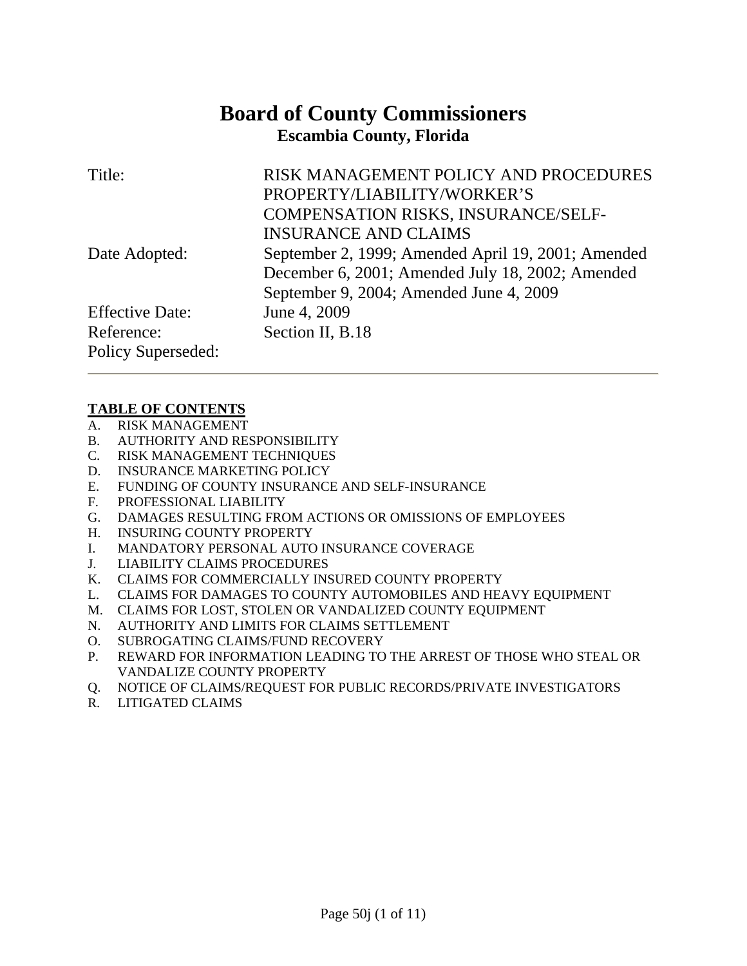# **Board of County Commissioners Escambia County, Florida**

| Title:                 | RISK MANAGEMENT POLICY AND PROCEDURES              |
|------------------------|----------------------------------------------------|
|                        | PROPERTY/LIABILITY/WORKER'S                        |
|                        | COMPENSATION RISKS, INSURANCE/SELF-                |
|                        | <b>INSURANCE AND CLAIMS</b>                        |
| Date Adopted:          | September 2, 1999; Amended April 19, 2001; Amended |
|                        | December 6, 2001; Amended July 18, 2002; Amended   |
|                        | September 9, 2004; Amended June 4, 2009            |
| <b>Effective Date:</b> | June 4, 2009                                       |
| Reference:             | Section II, B.18                                   |
| Policy Superseded:     |                                                    |

# **TABLE OF CONTENTS**

- A. RISK MANAGEMENT
- B. AUTHORITY AND RESPONSIBILITY
- C. RISK MANAGEMENT TECHNIQUES
- D. INSURANCE MARKETING POLICY
- E. FUNDING OF COUNTY INSURANCE AND SELF-INSURANCE
- F. PROFESSIONAL LIABILITY
- G. DAMAGES RESULTING FROM ACTIONS OR OMISSIONS OF EMPLOYEES
- H. INSURING COUNTY PROPERTY
- I. MANDATORY PERSONAL AUTO INSURANCE COVERAGE
- J. LIABILITY CLAIMS PROCEDURES
- K. CLAIMS FOR COMMERCIALLY INSURED COUNTY PROPERTY
- L. CLAIMS FOR DAMAGES TO COUNTY AUTOMOBILES AND HEAVY EQUIPMENT
- M. CLAIMS FOR LOST, STOLEN OR VANDALIZED COUNTY EQUIPMENT
- N. AUTHORITY AND LIMITS FOR CLAIMS SETTLEMENT
- O. SUBROGATING CLAIMS/FUND RECOVERY
- P. REWARD FOR INFORMATION LEADING TO THE ARREST OF THOSE WHO STEAL OR VANDALIZE COUNTY PROPERTY
- Q. NOTICE OF CLAIMS/REQUEST FOR PUBLIC RECORDS/PRIVATE INVESTIGATORS
- R. LITIGATED CLAIMS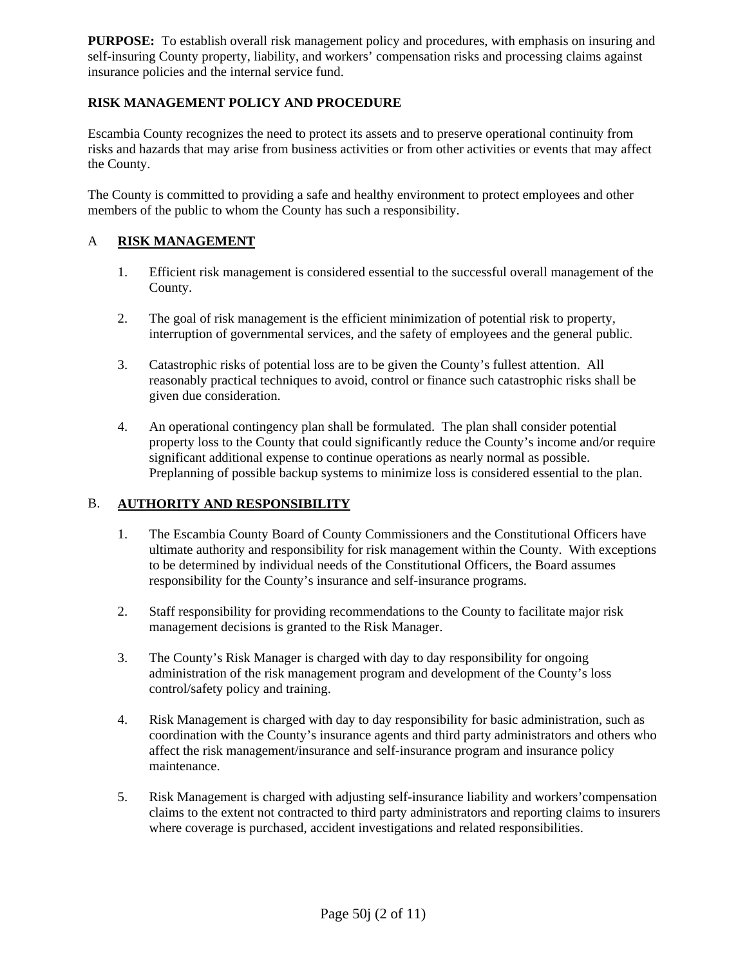**PURPOSE:** To establish overall risk management policy and procedures, with emphasis on insuring and self-insuring County property, liability, and workers' compensation risks and processing claims against insurance policies and the internal service fund.

# **RISK MANAGEMENT POLICY AND PROCEDURE**

Escambia County recognizes the need to protect its assets and to preserve operational continuity from risks and hazards that may arise from business activities or from other activities or events that may affect the County.

The County is committed to providing a safe and healthy environment to protect employees and other members of the public to whom the County has such a responsibility.

# A **RISK MANAGEMENT**

- 1. Efficient risk management is considered essential to the successful overall management of the County.
- 2. The goal of risk management is the efficient minimization of potential risk to property*,*  interruption of governmental services, and the safety of employees and the general public*.*
- 3. Catastrophic risks of potential loss are to be given the County's fullest attention. All reasonably practical techniques to avoid, control or finance such catastrophic risks shall be given due consideration.
- 4. An operational contingency plan shall be formulated. The plan shall consider potential property loss to the County that could significantly reduce the County's income and/or require significant additional expense to continue operations as nearly normal as possible. Preplanning of possible backup systems to minimize loss is considered essential to the plan.

# B. **AUTHORITY AND RESPONSIBILITY**

- 1. The Escambia County Board of County Commissioners and the Constitutional Officers have ultimate authority and responsibility for risk management within the County. With exceptions to be determined by individual needs of the Constitutional Officers, the Board assumes responsibility for the County's insurance and self-insurance programs.
- 2. Staff responsibility for providing recommendations to the County to facilitate major risk management decisions is granted to the Risk Manager.
- 3. The County's Risk Manager is charged with day to day responsibility for ongoing administration of the risk management program and development of the County's loss control/safety policy and training.
- 4. Risk Management is charged with day to day responsibility for basic administration, such as coordination with the County's insurance agents and third party administrators and others who affect the risk management/insurance and self-insurance program and insurance policy maintenance.
- 5. Risk Management is charged with adjusting self-insurance liability and workers'compensation claims to the extent not contracted to third party administrators and reporting claims to insurers where coverage is purchased, accident investigations and related responsibilities.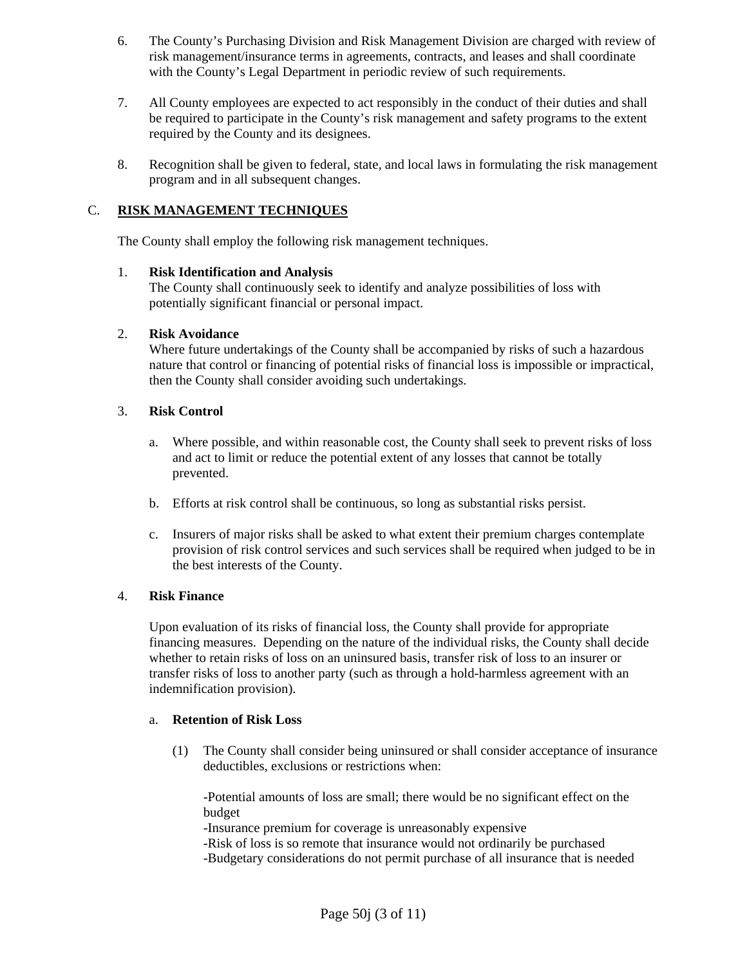- 6. The County's Purchasing Division and Risk Management Division are charged with review of risk management/insurance terms in agreements, contracts, and leases and shall coordinate with the County's Legal Department in periodic review of such requirements.
- 7. All County employees are expected to act responsibly in the conduct of their duties and shall be required to participate in the County's risk management and safety programs to the extent required by the County and its designees.
- 8. Recognition shall be given to federal, state, and local laws in formulating the risk management program and in all subsequent changes.

## C. **RISK MANAGEMENT TECHNIQUES**

The County shall employ the following risk management techniques.

## 1. **Risk Identification and Analysis**

The County shall continuously seek to identify and analyze possibilities of loss with potentially significant financial or personal impact.

#### 2. **Risk Avoidance**

Where future undertakings of the County shall be accompanied by risks of such a hazardous nature that control or financing of potential risks of financial loss is impossible or impractical, then the County shall consider avoiding such undertakings.

## 3. **Risk Control**

- a. Where possible, and within reasonable cost, the County shall seek to prevent risks of loss and act to limit or reduce the potential extent of any losses that cannot be totally prevented.
- b. Efforts at risk control shall be continuous, so long as substantial risks persist.
- c. Insurers of major risks shall be asked to what extent their premium charges contemplate provision of risk control services and such services shall be required when judged to be in the best interests of the County.

#### 4. **Risk Finance**

Upon evaluation of its risks of financial loss, the County shall provide for appropriate financing measures. Depending on the nature of the individual risks, the County shall decide whether to retain risks of loss on an uninsured basis, transfer risk of loss to an insurer or transfer risks of loss to another party (such as through a hold-harmless agreement with an indemnification provision).

#### a. **Retention of Risk Loss**

(1) The County shall consider being uninsured or shall consider acceptance of insurance deductibles, exclusions or restrictions when:

-Potential amounts of loss are small; there would be no significant effect on the budget

-Insurance premium for coverage is unreasonably expensive

-Risk of loss is so remote that insurance would not ordinarily be purchased

-Budgetary considerations do not permit purchase of all insurance that is needed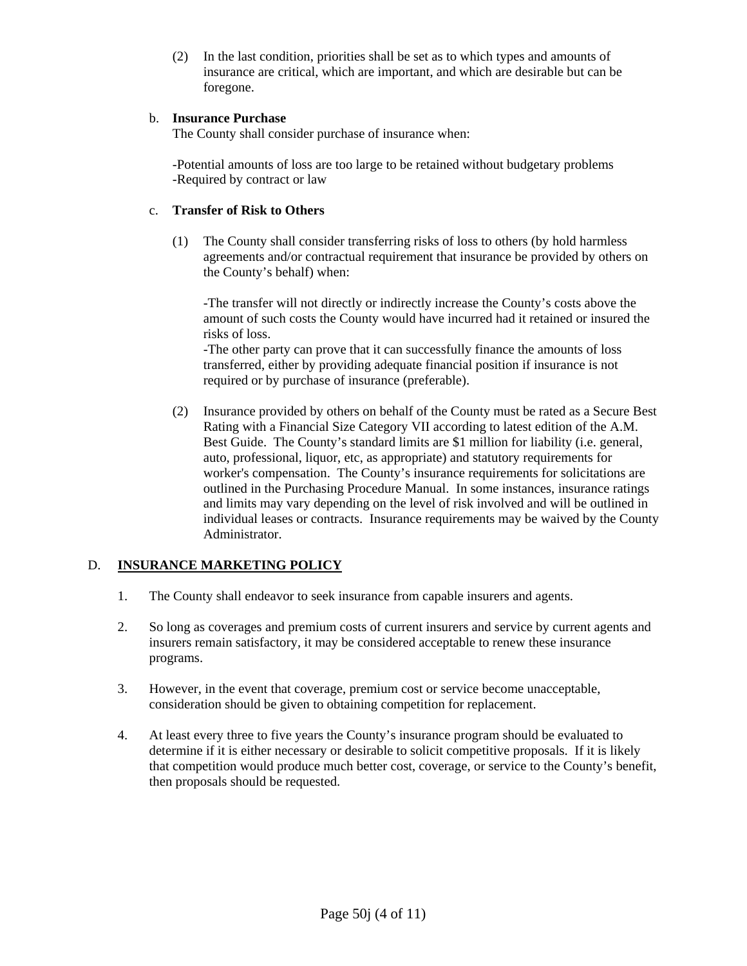(2) In the last condition, priorities shall be set as to which types and amounts of insurance are critical, which are important, and which are desirable but can be foregone.

## b. **Insurance Purchase**

The County shall consider purchase of insurance when:

-Potential amounts of loss are too large to be retained without budgetary problems -Required by contract or law

## c. **Transfer of Risk to Others**

(1) The County shall consider transferring risks of loss to others (by hold harmless agreements and/or contractual requirement that insurance be provided by others on the County's behalf) when:

-The transfer will not directly or indirectly increase the County's costs above the amount of such costs the County would have incurred had it retained or insured the risks of loss.

-The other party can prove that it can successfully finance the amounts of loss transferred, either by providing adequate financial position if insurance is not required or by purchase of insurance (preferable).

(2) Insurance provided by others on behalf of the County must be rated as a Secure Best Rating with a Financial Size Category VII according to latest edition of the A.M. Best Guide. The County's standard limits are \$1 million for liability (i.e. general, auto, professional, liquor, etc, as appropriate) and statutory requirements for worker's compensation. The County's insurance requirements for solicitations are outlined in the Purchasing Procedure Manual. In some instances, insurance ratings and limits may vary depending on the level of risk involved and will be outlined in individual leases or contracts. Insurance requirements may be waived by the County Administrator.

# D. **INSURANCE MARKETING POLICY**

- 1. The County shall endeavor to seek insurance from capable insurers and agents.
- 2. So long as coverages and premium costs of current insurers and service by current agents and insurers remain satisfactory, it may be considered acceptable to renew these insurance programs.
- 3. However, in the event that coverage, premium cost or service become unacceptable, consideration should be given to obtaining competition for replacement.
- 4. At least every three to five years the County's insurance program should be evaluated to determine if it is either necessary or desirable to solicit competitive proposals. If it is likely that competition would produce much better cost, coverage, or service to the County's benefit, then proposals should be requested.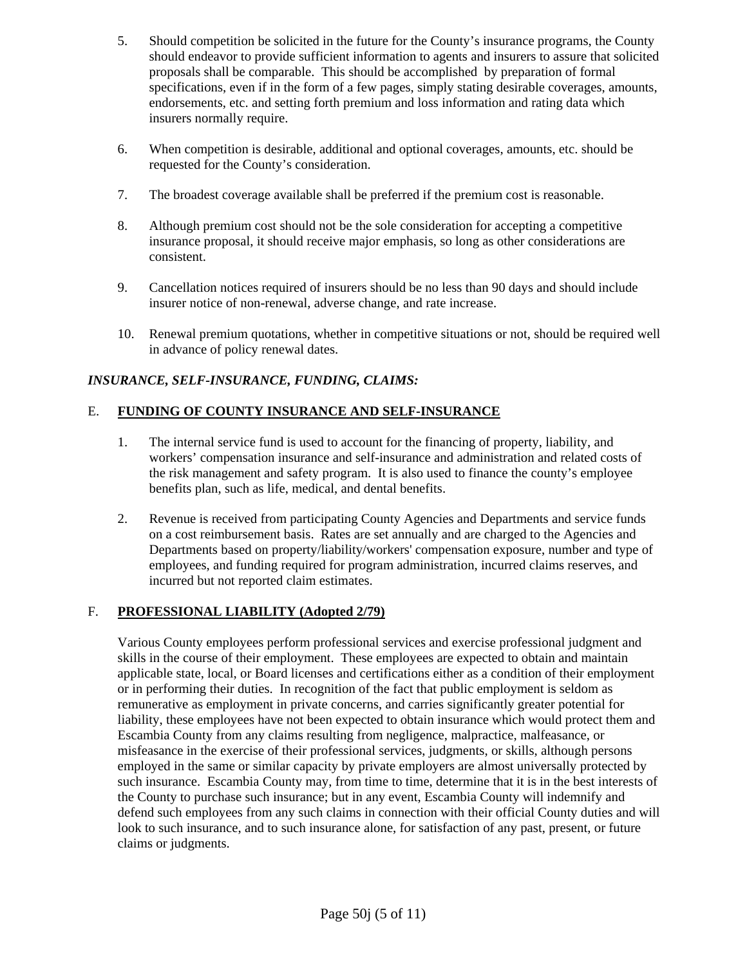- 5. Should competition be solicited in the future for the County's insurance programs, the County should endeavor to provide sufficient information to agents and insurers to assure that solicited proposals shall be comparable. This should be accomplished by preparation of formal specifications, even if in the form of a few pages, simply stating desirable coverages, amounts, endorsements, etc. and setting forth premium and loss information and rating data which insurers normally require.
- 6. When competition is desirable, additional and optional coverages, amounts, etc. should be requested for the County's consideration.
- 7. The broadest coverage available shall be preferred if the premium cost is reasonable.
- 8. Although premium cost should not be the sole consideration for accepting a competitive insurance proposal, it should receive major emphasis, so long as other considerations are consistent.
- 9. Cancellation notices required of insurers should be no less than 90 days and should include insurer notice of non-renewal, adverse change, and rate increase.
- 10. Renewal premium quotations, whether in competitive situations or not, should be required well in advance of policy renewal dates.

# *INSURANCE, SELF-INSURANCE, FUNDING, CLAIMS:*

# E. **FUNDING OF COUNTY INSURANCE AND SELF-INSURANCE**

- 1. The internal service fund is used to account for the financing of property, liability, and workers' compensation insurance and self-insurance and administration and related costs of the risk management and safety program. It is also used to finance the county's employee benefits plan, such as life, medical, and dental benefits.
- 2. Revenue is received from participating County Agencies and Departments and service funds on a cost reimbursement basis. Rates are set annually and are charged to the Agencies and Departments based on property/liability/workers' compensation exposure, number and type of employees, and funding required for program administration, incurred claims reserves, and incurred but not reported claim estimates.

# F. **PROFESSIONAL LIABILITY (Adopted 2/79)**

Various County employees perform professional services and exercise professional judgment and skills in the course of their employment. These employees are expected to obtain and maintain applicable state, local, or Board licenses and certifications either as a condition of their employment or in performing their duties. In recognition of the fact that public employment is seldom as remunerative as employment in private concerns, and carries significantly greater potential for liability, these employees have not been expected to obtain insurance which would protect them and Escambia County from any claims resulting from negligence, malpractice, malfeasance, or misfeasance in the exercise of their professional services, judgments, or skills, although persons employed in the same or similar capacity by private employers are almost universally protected by such insurance. Escambia County may, from time to time, determine that it is in the best interests of the County to purchase such insurance; but in any event, Escambia County will indemnify and defend such employees from any such claims in connection with their official County duties and will look to such insurance, and to such insurance alone, for satisfaction of any past, present, or future claims or judgments.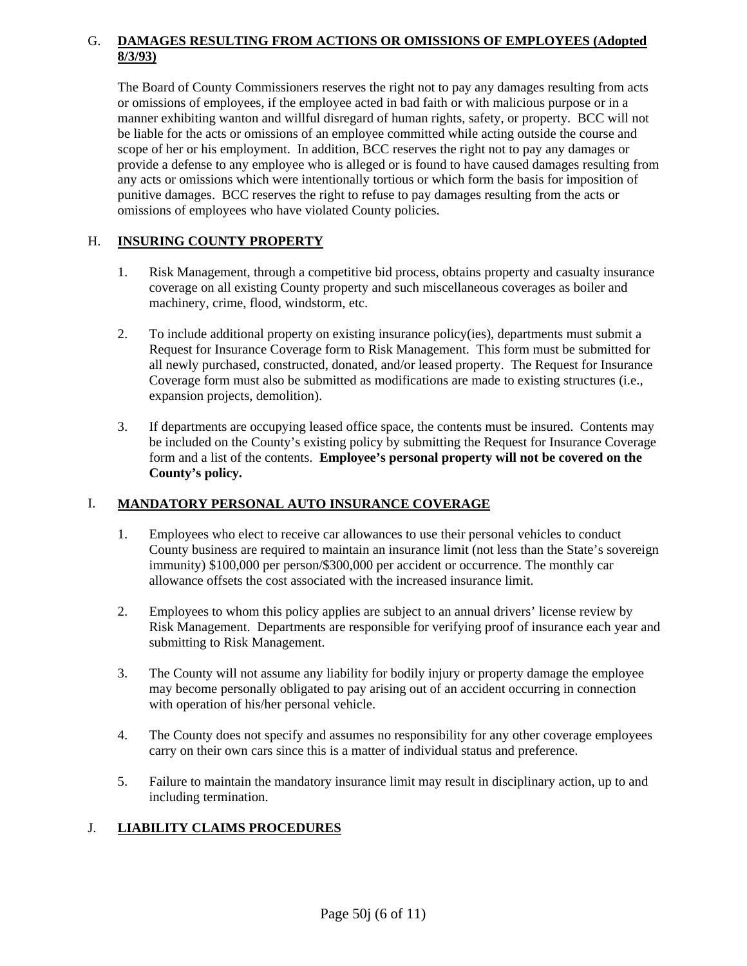## G. **DAMAGES RESULTING FROM ACTIONS OR OMISSIONS OF EMPLOYEES (Adopted 8/3/93)**

The Board of County Commissioners reserves the right not to pay any damages resulting from acts or omissions of employees, if the employee acted in bad faith or with malicious purpose or in a manner exhibiting wanton and willful disregard of human rights, safety, or property. BCC will not be liable for the acts or omissions of an employee committed while acting outside the course and scope of her or his employment. In addition, BCC reserves the right not to pay any damages or provide a defense to any employee who is alleged or is found to have caused damages resulting from any acts or omissions which were intentionally tortious or which form the basis for imposition of punitive damages. BCC reserves the right to refuse to pay damages resulting from the acts or omissions of employees who have violated County policies.

# H. **INSURING COUNTY PROPERTY**

- 1. Risk Management, through a competitive bid process, obtains property and casualty insurance coverage on all existing County property and such miscellaneous coverages as boiler and machinery, crime, flood, windstorm, etc.
- 2. To include additional property on existing insurance policy(ies), departments must submit a Request for Insurance Coverage form to Risk Management. This form must be submitted for all newly purchased, constructed, donated, and/or leased property. The Request for Insurance Coverage form must also be submitted as modifications are made to existing structures (i.e., expansion projects, demolition).
- 3. If departments are occupying leased office space, the contents must be insured. Contents may be included on the County's existing policy by submitting the Request for Insurance Coverage form and a list of the contents. **Employee's personal property will not be covered on the County's policy.**

# I. **MANDATORY PERSONAL AUTO INSURANCE COVERAGE**

- 1. Employees who elect to receive car allowances to use their personal vehicles to conduct County business are required to maintain an insurance limit (not less than the State's sovereign immunity) \$100,000 per person/\$300,000 per accident or occurrence. The monthly car allowance offsets the cost associated with the increased insurance limit.
- 2. Employees to whom this policy applies are subject to an annual drivers' license review by Risk Management. Departments are responsible for verifying proof of insurance each year and submitting to Risk Management.
- 3. The County will not assume any liability for bodily injury or property damage the employee may become personally obligated to pay arising out of an accident occurring in connection with operation of his/her personal vehicle.
- 4. The County does not specify and assumes no responsibility for any other coverage employees carry on their own cars since this is a matter of individual status and preference.
- 5. Failure to maintain the mandatory insurance limit may result in disciplinary action, up to and including termination.

# J. **LIABILITY CLAIMS PROCEDURES**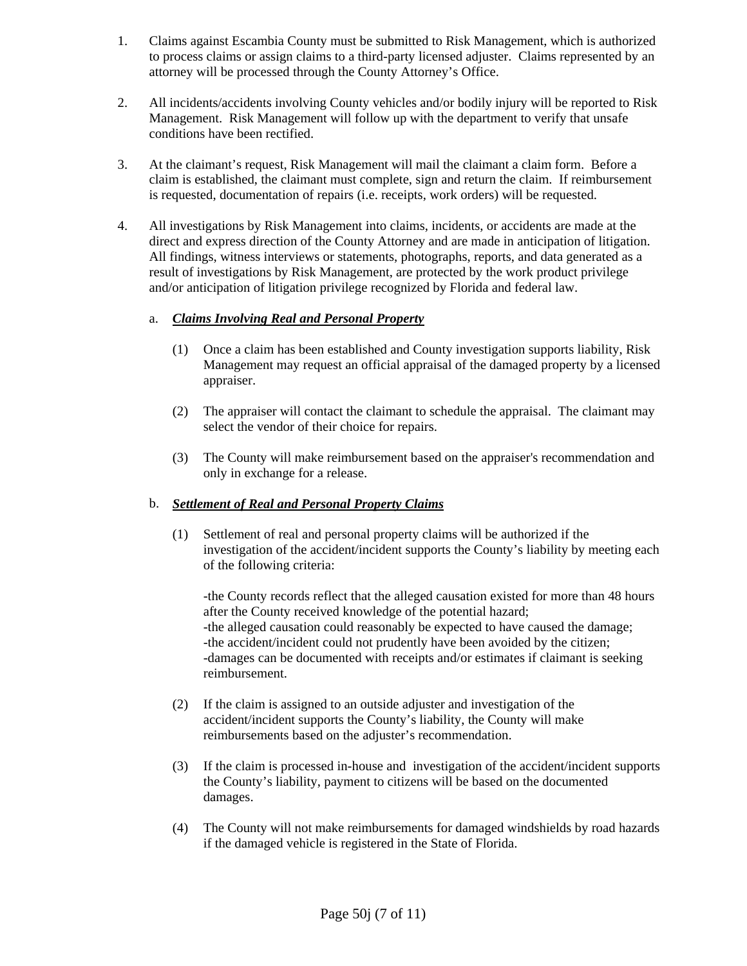- 1. Claims against Escambia County must be submitted to Risk Management, which is authorized to process claims or assign claims to a third-party licensed adjuster. Claims represented by an attorney will be processed through the County Attorney's Office.
- 2. All incidents/accidents involving County vehicles and/or bodily injury will be reported to Risk Management. Risk Management will follow up with the department to verify that unsafe conditions have been rectified.
- 3. At the claimant's request, Risk Management will mail the claimant a claim form. Before a claim is established, the claimant must complete, sign and return the claim. If reimbursement is requested, documentation of repairs (i.e. receipts, work orders) will be requested.
- 4. All investigations by Risk Management into claims, incidents, or accidents are made at the direct and express direction of the County Attorney and are made in anticipation of litigation. All findings, witness interviews or statements, photographs, reports, and data generated as a result of investigations by Risk Management, are protected by the work product privilege and/or anticipation of litigation privilege recognized by Florida and federal law.

# a. *Claims Involving Real and Personal Property*

- (1) Once a claim has been established and County investigation supports liability, Risk Management may request an official appraisal of the damaged property by a licensed appraiser.
- (2) The appraiser will contact the claimant to schedule the appraisal. The claimant may select the vendor of their choice for repairs.
- (3) The County will make reimbursement based on the appraiser's recommendation and only in exchange for a release.

## b. *Settlement of Real and Personal Property Claims*

(1) Settlement of real and personal property claims will be authorized if the investigation of the accident/incident supports the County's liability by meeting each of the following criteria:

-the County records reflect that the alleged causation existed for more than 48 hours after the County received knowledge of the potential hazard; -the alleged causation could reasonably be expected to have caused the damage; -the accident/incident could not prudently have been avoided by the citizen; -damages can be documented with receipts and/or estimates if claimant is seeking reimbursement.

- (2) If the claim is assigned to an outside adjuster and investigation of the accident/incident supports the County's liability, the County will make reimbursements based on the adjuster's recommendation.
- (3) If the claim is processed in-house and investigation of the accident/incident supports the County's liability, payment to citizens will be based on the documented damages.
- (4) The County will not make reimbursements for damaged windshields by road hazards if the damaged vehicle is registered in the State of Florida.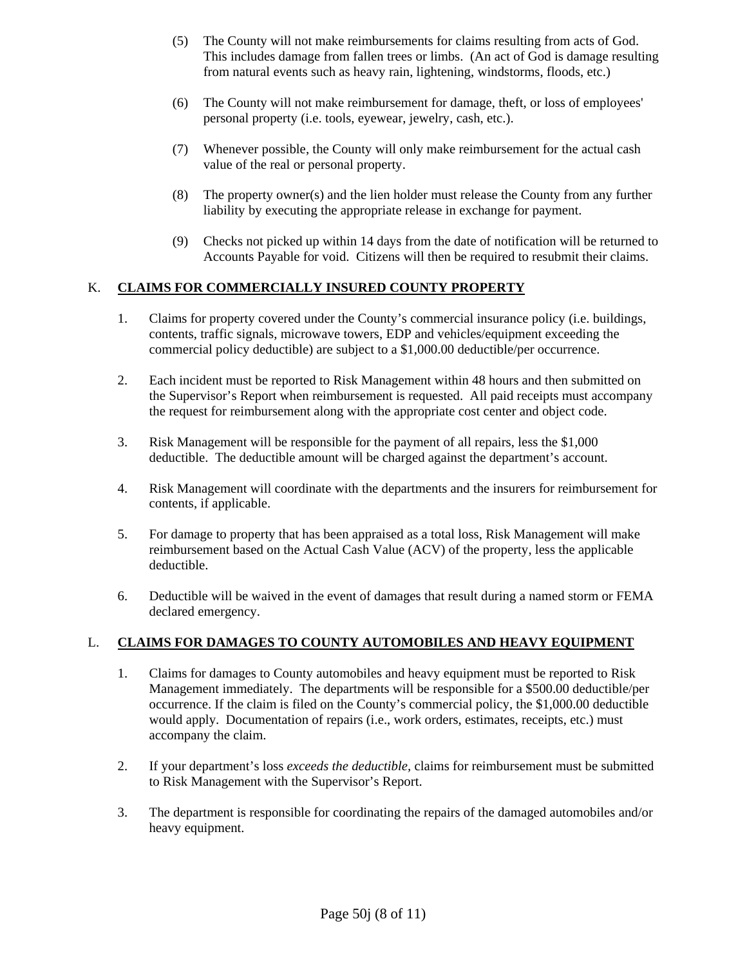- (5) The County will not make reimbursements for claims resulting from acts of God. This includes damage from fallen trees or limbs. (An act of God is damage resulting from natural events such as heavy rain, lightening, windstorms, floods, etc.)
- (6) The County will not make reimbursement for damage, theft, or loss of employees' personal property (i.e. tools, eyewear, jewelry, cash, etc.).
- (7) Whenever possible, the County will only make reimbursement for the actual cash value of the real or personal property.
- (8) The property owner(s) and the lien holder must release the County from any further liability by executing the appropriate release in exchange for payment.
- (9) Checks not picked up within 14 days from the date of notification will be returned to Accounts Payable for void. Citizens will then be required to resubmit their claims.

## K. **CLAIMS FOR COMMERCIALLY INSURED COUNTY PROPERTY**

- 1. Claims for property covered under the County's commercial insurance policy (i.e. buildings, contents, traffic signals, microwave towers, EDP and vehicles/equipment exceeding the commercial policy deductible) are subject to a \$1,000.00 deductible/per occurrence.
- 2. Each incident must be reported to Risk Management within 48 hours and then submitted on the Supervisor's Report when reimbursement is requested. All paid receipts must accompany the request for reimbursement along with the appropriate cost center and object code.
- 3. Risk Management will be responsible for the payment of all repairs, less the \$1,000 deductible. The deductible amount will be charged against the department's account.
- 4. Risk Management will coordinate with the departments and the insurers for reimbursement for contents, if applicable.
- 5. For damage to property that has been appraised as a total loss, Risk Management will make reimbursement based on the Actual Cash Value (ACV) of the property, less the applicable deductible.
- 6. Deductible will be waived in the event of damages that result during a named storm or FEMA declared emergency.

## L. **CLAIMS FOR DAMAGES TO COUNTY AUTOMOBILES AND HEAVY EQUIPMENT**

- 1. Claims for damages to County automobiles and heavy equipment must be reported to Risk Management immediately. The departments will be responsible for a \$500.00 deductible/per occurrence. If the claim is filed on the County's commercial policy, the \$1,000.00 deductible would apply. Documentation of repairs (i.e., work orders, estimates, receipts, etc.) must accompany the claim.
- 2. If your department's loss *exceeds the deductible,* claims for reimbursement must be submitted to Risk Management with the Supervisor's Report.
- 3. The department is responsible for coordinating the repairs of the damaged automobiles and/or heavy equipment.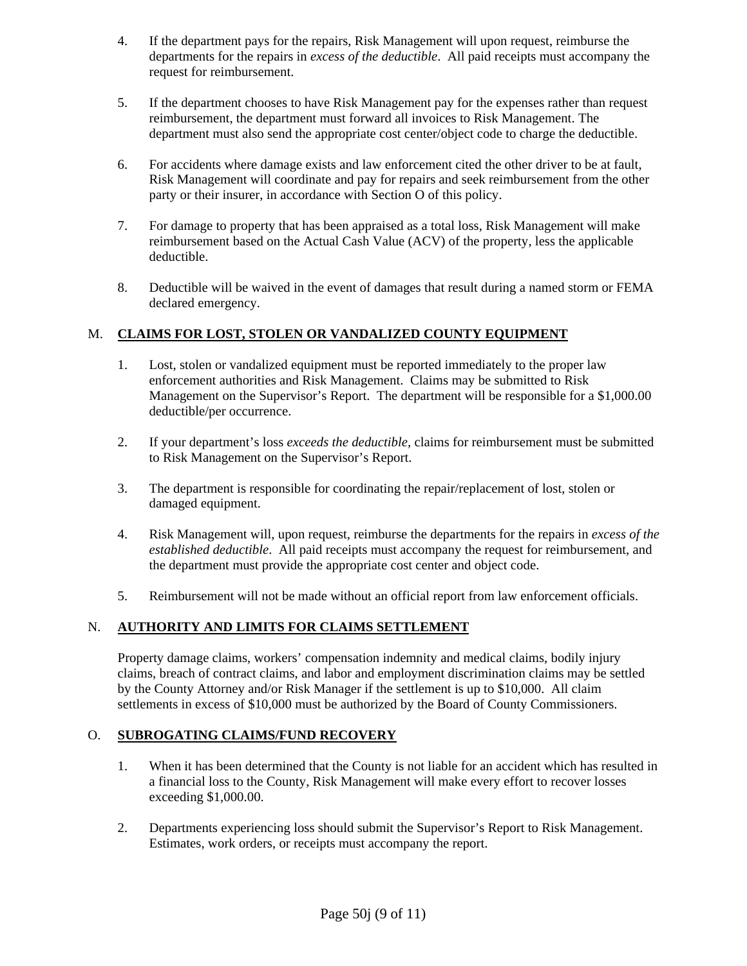- 4. If the department pays for the repairs, Risk Management will upon request, reimburse the departments for the repairs in *excess of the deductible*. All paid receipts must accompany the request for reimbursement.
- 5. If the department chooses to have Risk Management pay for the expenses rather than request reimbursement, the department must forward all invoices to Risk Management. The department must also send the appropriate cost center/object code to charge the deductible.
- 6. For accidents where damage exists and law enforcement cited the other driver to be at fault, Risk Management will coordinate and pay for repairs and seek reimbursement from the other party or their insurer, in accordance with Section O of this policy.
- 7. For damage to property that has been appraised as a total loss, Risk Management will make reimbursement based on the Actual Cash Value (ACV) of the property, less the applicable deductible.
- 8. Deductible will be waived in the event of damages that result during a named storm or FEMA declared emergency.

# M. **CLAIMS FOR LOST, STOLEN OR VANDALIZED COUNTY EQUIPMENT**

- 1. Lost, stolen or vandalized equipment must be reported immediately to the proper law enforcement authorities and Risk Management. Claims may be submitted to Risk Management on the Supervisor's Report. The department will be responsible for a \$1,000.00 deductible/per occurrence.
- 2. If your department's loss *exceeds the deductible,* claims for reimbursement must be submitted to Risk Management on the Supervisor's Report.
- 3. The department is responsible for coordinating the repair/replacement of lost, stolen or damaged equipment.
- 4. Risk Management will, upon request, reimburse the departments for the repairs in *excess of the established deductible*. All paid receipts must accompany the request for reimbursement, and the department must provide the appropriate cost center and object code.
- 5. Reimbursement will not be made without an official report from law enforcement officials.

# N. **AUTHORITY AND LIMITS FOR CLAIMS SETTLEMENT**

Property damage claims, workers' compensation indemnity and medical claims, bodily injury claims, breach of contract claims, and labor and employment discrimination claims may be settled by the County Attorney and/or Risk Manager if the settlement is up to \$10,000. All claim settlements in excess of \$10,000 must be authorized by the Board of County Commissioners.

## O. **SUBROGATING CLAIMS/FUND RECOVERY**

- 1. When it has been determined that the County is not liable for an accident which has resulted in a financial loss to the County, Risk Management will make every effort to recover losses exceeding \$1,000.00.
- 2. Departments experiencing loss should submit the Supervisor's Report to Risk Management. Estimates, work orders, or receipts must accompany the report.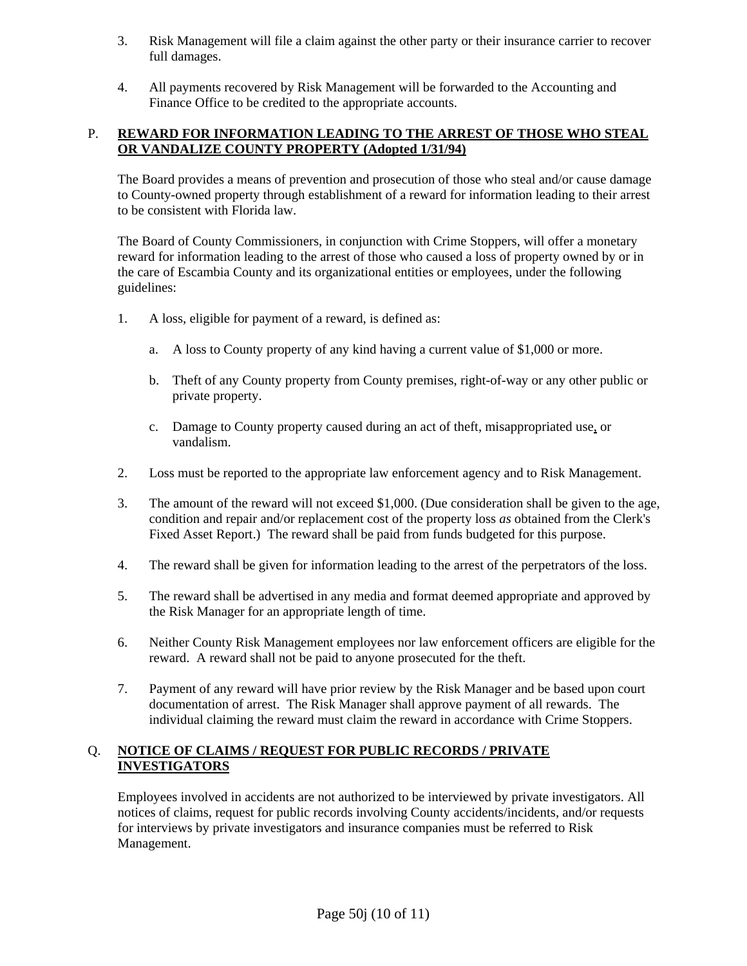- 3. Risk Management will file a claim against the other party or their insurance carrier to recover full damages.
- 4. All payments recovered by Risk Management will be forwarded to the Accounting and Finance Office to be credited to the appropriate accounts.

# P. **REWARD FOR INFORMATION LEADING TO THE ARREST OF THOSE WHO STEAL OR VANDALIZE COUNTY PROPERTY (Adopted 1/31/94)**

The Board provides a means of prevention and prosecution of those who steal and/or cause damage to County-owned property through establishment of a reward for information leading to their arrest to be consistent with Florida law.

The Board of County Commissioners, in conjunction with Crime Stoppers, will offer a monetary reward for information leading to the arrest of those who caused a loss of property owned by or in the care of Escambia County and its organizational entities or employees, under the following guidelines:

- 1. A loss, eligible for payment of a reward, is defined as:
	- a. A loss to County property of any kind having a current value of \$1,000 or more.
	- b. Theft of any County property from County premises, right-of-way or any other public or private property.
	- c. Damage to County property caused during an act of theft, misappropriated use, or vandalism.
- 2. Loss must be reported to the appropriate law enforcement agency and to Risk Management.
- 3. The amount of the reward will not exceed \$1,000. (Due consideration shall be given to the age, condition and repair and/or replacement cost of the property loss *as* obtained from the Clerk's Fixed Asset Report.) The reward shall be paid from funds budgeted for this purpose.
- 4. The reward shall be given for information leading to the arrest of the perpetrators of the loss.
- 5. The reward shall be advertised in any media and format deemed appropriate and approved by the Risk Manager for an appropriate length of time.
- 6. Neither County Risk Management employees nor law enforcement officers are eligible for the reward. A reward shall not be paid to anyone prosecuted for the theft.
- 7. Payment of any reward will have prior review by the Risk Manager and be based upon court documentation of arrest. The Risk Manager shall approve payment of all rewards. The individual claiming the reward must claim the reward in accordance with Crime Stoppers.

# Q. **NOTICE OF CLAIMS / REQUEST FOR PUBLIC RECORDS / PRIVATE INVESTIGATORS**

Employees involved in accidents are not authorized to be interviewed by private investigators. All notices of claims, request for public records involving County accidents/incidents, and/or requests for interviews by private investigators and insurance companies must be referred to Risk Management.